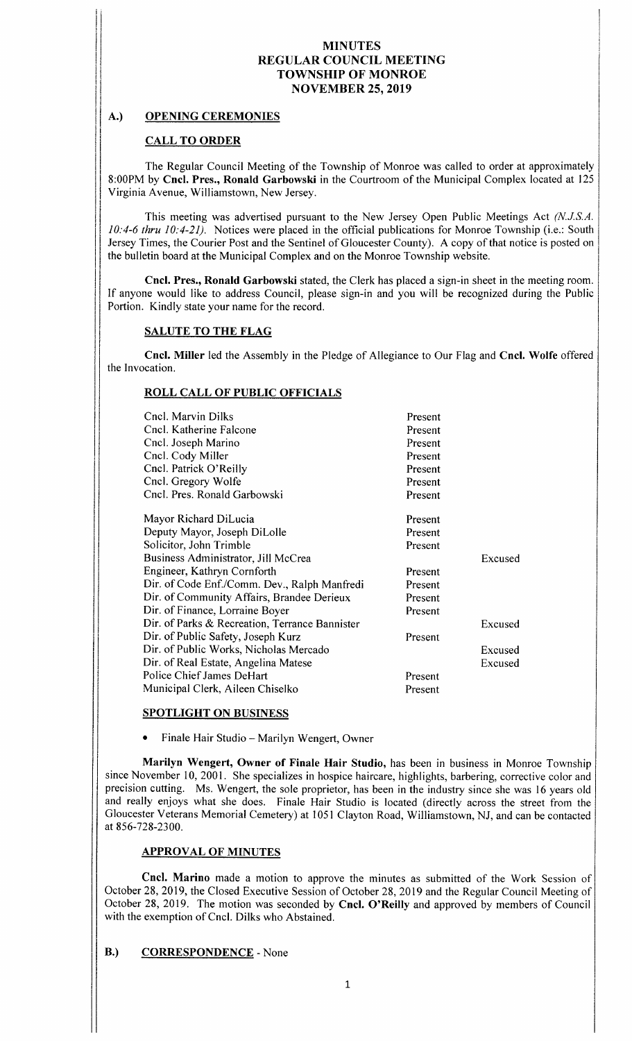# A.) OPENING CEREMONIES

I

# CALL TO ORDER

The Regular Council Meeting of the Township of Monroe was called to order at approximately 8: 00PM by Cncl. Pres., Ronald Garbowski in the Courtroom of the Municipal Complex located at <sup>125</sup> Virginia Avenue, Williamstown, New Jersey.

This meeting was advertised pursuant to the New Jersey Open Public Meetings Act (N.J.S.A.  $10:4-6$  thru  $10:4-21$ ). Notices were placed in the official publications for Monroe Township (i.e.: South Jersey Times, the Courier Post and the Sentinel of Gloucester County). A copy of that notice is posted on the bulletin board at the Municipal Complex and on the Monroe Township website.

Cncl. Pres., Ronald Garbowski stated, the Clerk has placed a sign- in sheet in the meeting room. If anyone would like to address Council, please sign-in and you will be recognized during the Public Portion. Kindly state your name for the record.

# SALUTE TO THE FLAG

Cncl. Miller led the Assembly in the Pledge of Allegiance to Our Flag and Cncl. Wolfe offered the Invocation.

# ROLL CALL OF PUBLIC OFFICIALS

| Cncl. Marvin Dilks                             | Present |         |
|------------------------------------------------|---------|---------|
| Cncl. Katherine Falcone                        | Present |         |
| Cncl. Joseph Marino                            | Present |         |
| Cncl. Cody Miller                              | Present |         |
| Cncl. Patrick O'Reilly                         | Present |         |
| Cncl. Gregory Wolfe                            | Present |         |
| Cncl. Pres. Ronald Garbowski                   | Present |         |
| Mayor Richard DiLucia                          | Present |         |
| Deputy Mayor, Joseph DiLolle                   | Present |         |
| Solicitor, John Trimble                        | Present |         |
| Business Administrator, Jill McCrea            |         | Excused |
| Engineer, Kathryn Cornforth                    | Present |         |
| Dir. of Code Enf./Comm. Dev., Ralph Manfredi   | Present |         |
| Dir. of Community Affairs, Brandee Derieux     | Present |         |
| Dir. of Finance, Lorraine Boyer                | Present |         |
| Dir. of Parks & Recreation, Terrance Bannister |         | Excused |
| Dir. of Public Safety, Joseph Kurz             | Present |         |
| Dir. of Public Works, Nicholas Mercado         |         | Excused |
| Dir. of Real Estate, Angelina Matese           |         | Excused |
| Police Chief James DeHart                      | Present |         |
| Municipal Clerk, Aileen Chiselko               | Present |         |
|                                                |         |         |

#### SPOTLIGHT ON BUSINESS

Finale Hair Studio— Marilyn Wengert, Owner

Marilyn Wengert, Owner of Finale Hair Studio, has been in business in Monroe Township since November 10, 2001. She specializes in hospice haircare, highlights, barbering, corrective color and precision cutting. Ms. Wengert, the sole proprietor, has been in the industry since she was <sup>16</sup> years old and really enjoys what she does. Finale Hair Studio is located ( directly across the street from the Gloucester Veterans Memorial Cemetery) at 1051 Clayton Road, Williamstown, NJ, and can be contacted at 856-728-2300.

# APPROVAL OF MINUTES

Cncl. Marino made <sup>a</sup> motion to approve the minutes as submitted of the Work Session of October 28, 2019, the Closed Executive Session of October 28, 2019 and the Regular Council Meeting of October 28, 2019. The motion was seconded by Cncl. O'Reilly and approved by members of Council with the exemption of Cncl. Dilks who Abstained.

# B.) CORRESPONDENCE - None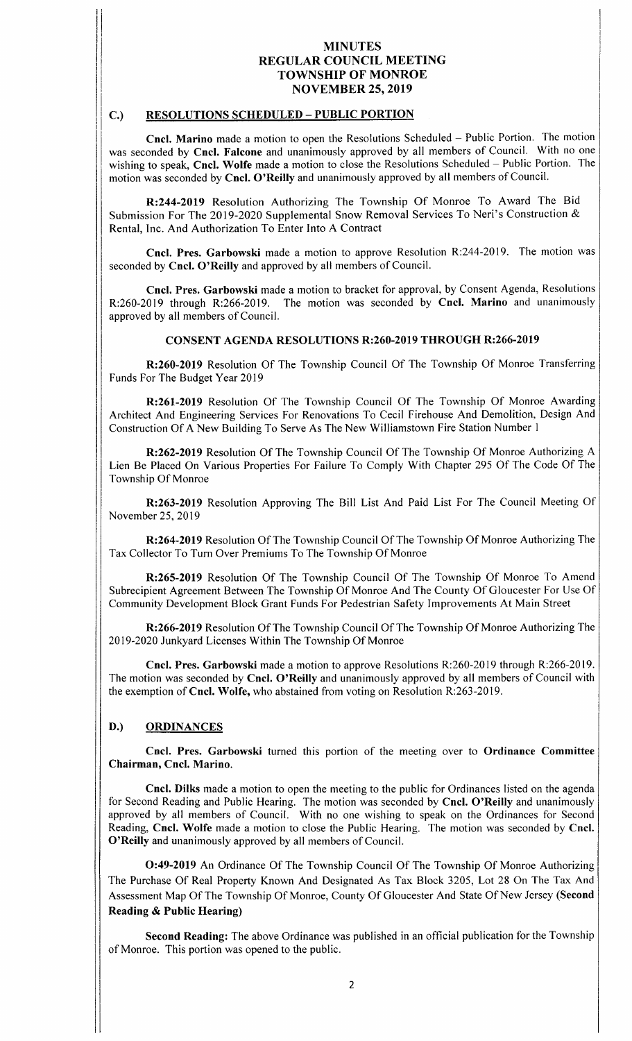#### C.) RESOLUTIONS SCHEDULED— PUBLIC PORTION

IR•

Cncl. Marino made <sup>a</sup> motion to open the Resolutions Scheduled — Public Portion. The motion was seconded by Cncl. Falcone and unanimously approved by all members of Council. With no one wishing to speak, Cncl. Wolfe made <sup>a</sup> motion to close the Resolutions Scheduled — Public Portion. The motion was seconded by Cncl. O'Reilly and unanimously approved by all members of Council.

R:244-2019 Resolution Authorizing The Township Of Monroe To Award The Bid Submission For The 2019-2020 Supplemental Snow Removal Services To Neri's Construction & Rental, Inc. And Authorization To Enter Into A Contract

Cncl. Pres. Garbowski made a motion to approve Resolution R:244-2019. The motion was seconded by Cncl. O'Reilly and approved by all members of Council.

Cncl. Pres. Garbowski made a motion to bracket for approval, by Consent Agenda, Resolutions R: 260-2019 through R: 266-2019. The motion was seconded by Cncl. Marino and unanimously approved by all members of Council.

#### CONSENT AGENDA RESOLUTIONS R:260-2019 THROUGH R:266-2019

R:260-2019 Resolution Of The Township Council Of The Township Of Monroe Transferring Funds For The Budget Year 2019

R:261-2019 Resolution Of The Township Council Of The Township Of Monroe Awarding Architect And Engineering Services For Renovations To Cecil Firehouse And Demolition, Design And Construction Of A New Building To Serve As The New Williamstown Fire Station Number <sup>1</sup>

R: 262-2019 Resolution Of The Township Council Of The Township Of Monroe Authorizing A Lien Be Placed On Various Properties For Failure To Comply With Chapter 295 Of The Code Of The Township Of Monroe

R:263- 2019 Resolution Approving The Bill List And Paid List For The Council Meeting Of November 25, 2019

R: 264-2019 Resolution Of The Township Council Of The Township Of Monroe Authorizing The Tax Collector To Turn Over Premiums To The Township Of Monroe

R: 265-2019 Resolution Of The Township Council Of The Township Of Monroe To Amend Subrecipient Agreement Between The Township Of Monroe And The County Of Gloucester For Use Of Community Development Block Grant Funds For Pedestrian Safety Improvements At Main Street

R: 266-2019 Resolution Of The Township Council Of The Township Of Monroe Authorizing The 2019-2020 Junkyard Licenses Within The Township Of Monroe

Cncl. Pres. Garbowski made a motion to approve Resolutions R:260-2019 through R:266-2019. The motion was seconded by Cncl. O'Reilly and unanimously approved by all members of Council with the exemption of Cncl. Wolfe, who abstained from voting on Resolution R:263-2019.

# D.) ORDINANCES

Cncl. Pres. Garbowski turned this portion of the meeting over to Ordinance Committee Chairman, Cncl. Marino.

Cncl. Dilks made a motion to open the meeting to the public for Ordinances listed on the agenda for Second Reading and Public Hearing. The motion was seconded by **Cncl. O'Reilly** and unanimously approved by all members of Council. With no one wishing to speak on the Ordinances for Second Reading, Cncl. Wolfe made <sup>a</sup> motion to close the Public Hearing. The motion was seconded by Cncl. O'Reilly and unanimously approved by all members of Council.

0:49- <sup>2019</sup> An Ordinance Of The Township Council Of The Township Of Monroe Authorizing The Purchase Of Real Property Known And Designated As Tax Block 3205, Lot 28 On The Tax And Assessment Map Of The Township Of Monroe, County Of Gloucester And State Of New Jersey (Second Reading& Public Hearing)

Second Reading: The above Ordinance was published in an official publication for the Township of Monroe. This portion was opened to the public.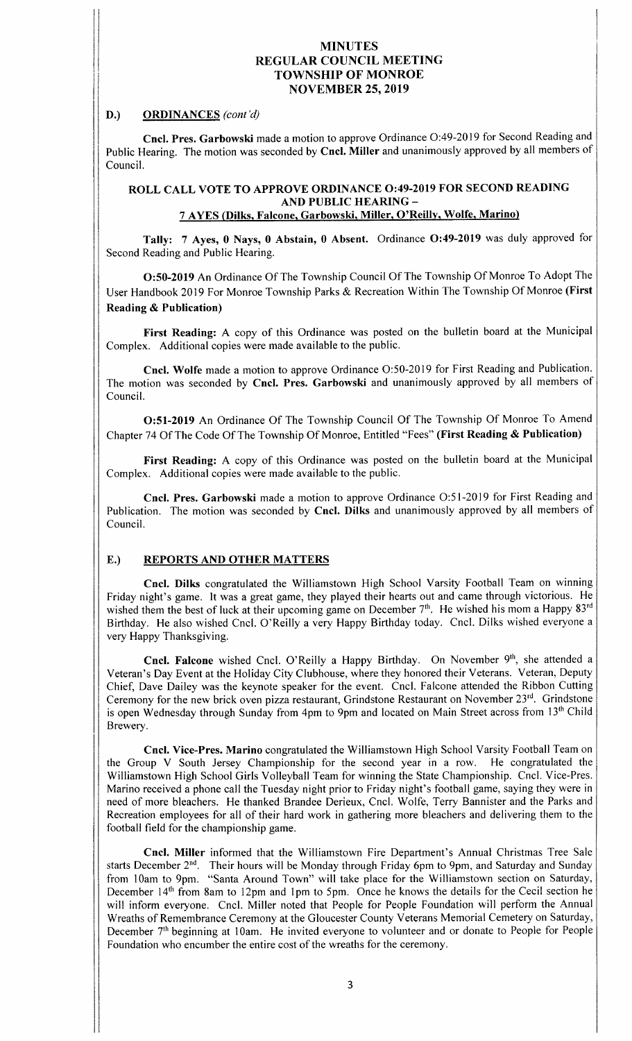#### D.) ORDINANCES (cont'd)

Cncl. Pres. Garbowski made a motion to approve Ordinance O:49-2019 for Second Reading and Public Hearing. The motion was seconded by Cncl. Miller and unanimously approved by all members of Council.

# ROLL CALL VOTE TO APPROVE ORDINANCE 0:49-2019 FOR SECOND READING AND PUBLIC HEARING—

<sup>7</sup> AYES ( Dilks, Falcone, Garbowski, Miller, O' Reilly, Wolfe, Marino)

Tally: 7 Ayes, 0 Nays, 0 Abstain, 0 Absent. Ordinance O:49-2019 was duly approved for Second Reading and Public Hearing.

0:50- <sup>2019</sup> An Ordinance Of The Township Council Of The Township Of Monroe To Adopt The User Handbook 2019 For Monroe Township Parks & Recreation Within The Township Of Monroe (First Reading& Publication)

First Reading: A copy of this Ordinance was posted on the bulletin board at the Municipal Complex. Additional copies were made available to the public.

Cncl. Wolfe made a motion to approve Ordinance O:50-2019 for First Reading and Publication. The motion was seconded by Cncl. Pres. Garbowski and unanimously approved by all members of Council.

O: 51-2019 An Ordinance Of The Township Council Of The Township Of Monroe To Amend Chapter 74 Of The Code Of The Township Of Monroe, Entitled "Fees" (First Reading & Publication)

First Reading: A copy of this Ordinance was posted on the bulletin board at the Municipal Complex. Additional copies were made available to the public.

Cncl. Pres. Garbowski made a motion to approve Ordinance O:51-2019 for First Reading and Publication. The motion was seconded by Cncl. Dilks and unanimously approved by all members of Council.

# E.) REPORTS AND OTHER MATTERS

Cncl. Dilks congratulated the Williamstown High School Varsity Football Team on winning Friday night's game. It was a great game, they played their hearts out and came through victorious. He wished them the best of luck at their upcoming game on December 7<sup>th</sup>. He wished his mom a Happy 83<sup>rd</sup> Birthday. He also wished Cncl. O' Reilly <sup>a</sup> very Happy Birthday today. Cncl. Dilks wished everyone <sup>a</sup> very Happy Thanksgiving.

Cncl. Falcone wished Cncl. O'Reilly a Happy Birthday. On November 9<sup>th</sup>, she attended a Veteran's Day Event at the Holiday City Clubhouse, where they honored their Veterans. Veteran, Deputy Chief, Dave Dailey was the keynote speaker for the event. Cncl. Falcone attended the Ribbon Cutting Ceremony for the new brick oven pizza restaurant, Grindstone Restaurant on November  $23<sup>rd</sup>$ . Grindstone is open Wednesday through Sunday from 4pm to 9pm and located on Main Street across from 13<sup>th</sup> Child Brewery.

Cncl. Vice-Pres. Marino congratulated the Williamstown High School Varsity Football Team on the Group V South Jersey Championship for the second year in <sup>a</sup> row. He congratulated the Williamstown High School Girls Volleyball Team for winning the State Championship. Cncl. Vice-Pres. Marino received a phone call the Tuesday night prior to Friday night's football game, saying they were in need of more bleachers. He thanked Brandee Derieux, Cncl. Wolfe, Terry Bannister and the Parks and Recreation employees for all of their hard work in gathering more bleachers and delivering them to the football field for the championship game.

Cncl. Miller informed that the Williamstown Fire Department's Annual Christmas Tree Sale starts December 2<sup>nd</sup>. Their hours will be Monday through Friday 6pm to 9pm, and Saturday and Sunday from 10am to 9pm. "Santa Around Town" will take place for the Williamstown section on Saturday, December 14<sup>th</sup> from 8am to 12pm and 1pm to 5pm. Once he knows the details for the Cecil section he will inform everyone. Cncl. Miller noted that People for People Foundation will perform the Annual Wreaths of Remembrance Ceremony at the Gloucester County Veterans Memorial Cemetery on Saturday, December 7<sup>th</sup> beginning at 10am. He invited everyone to volunteer and or donate to People for People Foundation who encumber the entire cost of the wreaths for the ceremony.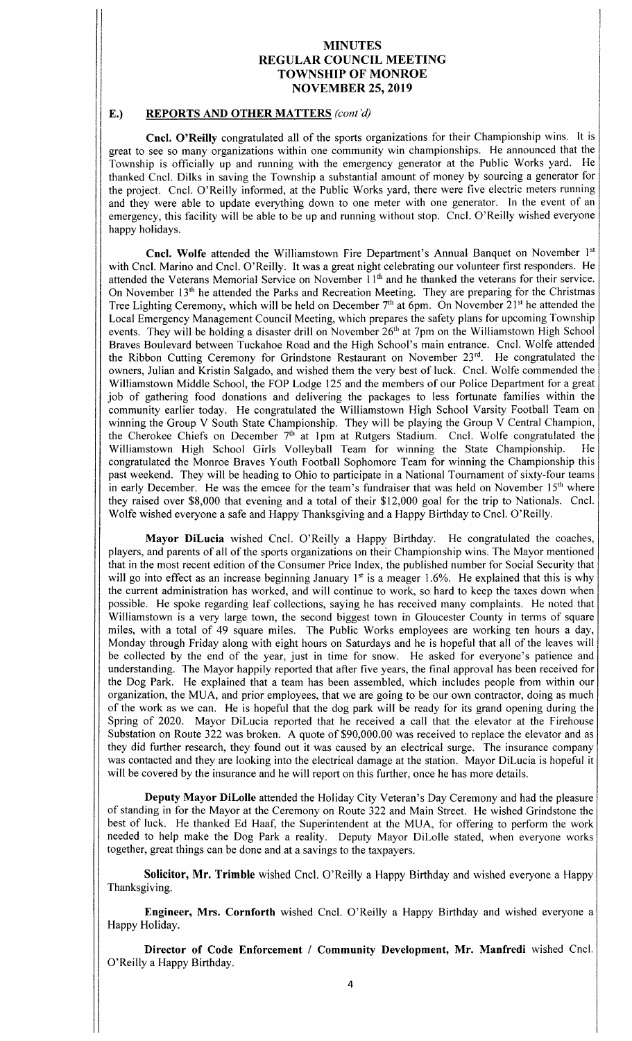Ii <sup>I</sup>

#### E.) REPORTS AND OTHER MATTERS (cont'd)

r

Cncl. O'Reilly congratulated all of the sports organizations for their Championship wins. It is great to see so many organizations within one community win championships. He announced that the Township is officially up and running with the emergency generator at the Public Works yard. He thanked Cncl. Dilks in saving the Township <sup>a</sup> substantial amount of money by sourcing <sup>a</sup> generator for the project. Cncl. O' Reilly informed, at the Public Works yard, there were five electric meters running and they were able to update everything down to one meter with one generator. In the event of an emergency, this facility will be able to be up and running without stop. Cncl. O' Reilly wished everyone happy holidays.

Cncl. Wolfe attended the Williamstown Fire Department's Annual Banquet on November 1st with Cncl. Marino and Cncl. O' Reilly. It was a great night celebrating our volunteer first responders. He attended the Veterans Memorial Service on November 11<sup>th</sup> and he thanked the veterans for their service. On November 13<sup>th</sup> he attended the Parks and Recreation Meeting. They are preparing for the Christmas Tree Lighting Ceremony, which will be held on December  $7<sup>th</sup>$  at 6pm. On November 21<sup>st</sup> he attended the Local Emergency Management Council Meeting, which prepares the safety plans for upcoming Township events. They will be holding a disaster drill on November 26<sup>th</sup> at 7pm on the Williamstown High School Braves Boulevard between Tuckahoe Road and the High School's main entrance. Cncl. Wolfe attended the Ribbon Cutting Ceremony for Grindstone Restaurant on November 23rd. He congratulated the owners, Julian and Kristin Salgado, and wished them the very best of luck. Cncl. Wolfe commended the Williamstown Middle School, the FOP Lodge <sup>125</sup> and the members of our Police Department for <sup>a</sup> great job of gathering food donations and delivering the packages to less fortunate families within the community earlier today. He congratulated the Williamstown High School Varsity Football Team on winning the Group V South State Championship. They will be playing the Group V Central Champion, the Cherokee Chiefs on December  $7<sup>th</sup>$  at 1pm at Rutgers Stadium. Cncl. Wolfe congratulated the Williamstown High School Girls Volleyball Team for winning the State Championship. He congratulated the Monroe Braves Youth Football Sophomore Team for winning the Championship this past weekend. They will be heading to Ohio to participate in a National Tournament of sixty-four teams in early December. He was the emcee for the team's fundraiser that was held on November 15<sup>th</sup> where they raised over \$8,000 that evening and a total of their \$12,000 goal for the trip to Nationals. Cncl. Wolfe wished everyone a safe and Happy Thanksgiving and a Happy Birthday to Cncl. O' Reilly.

Mayor DiLucia wished Cncl. O'Reilly a Happy Birthday. He congratulated the coaches, players, and parents of all of the sports organizations on their Championship wins. The Mayor mentioned that in the most recent edition of the Consumer Price Index, the published number for Social Security that will go into effect as an increase beginning January  $1<sup>st</sup>$  is a meager 1.6%. He explained that this is why the current administration has worked, and will continue to work, so hard to keep the taxes down when possible. He spoke regarding leaf collections, saying he has received many complaints. He noted that Williamstown is <sup>a</sup> very large town, the second biggest town in Gloucester County in terms of square miles, with <sup>a</sup> total of <sup>49</sup> square miles. The Public Works employees are working ten hours <sup>a</sup> day, Monday through Friday along with eight hours on Saturdays and he is hopeful that all of the leaves will be collected by the end of the year, just in time for snow. He asked for everyone's patience and understanding. The Mayor happily reported that after five years, the final approval has been received for the Dog Park. He explained that <sup>a</sup> team has been assembled, which includes people from within our organization, the MUA, and prior employees, that we are going to be our own contractor, doing as much of the work as we can. He is hopeful that the dog park will be ready for its grand opening during the Spring of 2020. Mayor DiLucia reported that he received <sup>a</sup> call that the elevator at the Firehouse Substation on Route 322 was broken. A quote of \$90,000.00 was received to replace the elevator and as they did further research, they found out it was caused by an electrical surge. The insurance company was contacted and they are looking into the electrical damage at the station. Mayor DiLucia is hopeful it will be covered by the insurance and he will report on this further, once he has more details.

Deputy Mayor DiLolle attended the Holiday City Veteran's Day Ceremony and had the pleasure of standing in for the Mayor at the Ceremony on Route 322 and Main Street. He wished Grindstone the best of luck. He thanked Ed Haaf, the Superintendent at the MUA, for offering to perform the work needed to help make the Dog Park a reality. Deputy Mayor DiLolle stated, when everyone works together, great things can be done and at a savings to the taxpayers.

Solicitor, Mr. Trimble wished Cncl. O' Reilly <sup>a</sup> Happy Birthday and wished everyone <sup>a</sup> Happy Thanksgiving.

Engineer, Mrs. Cornforth wished Cncl. O' Reilly <sup>a</sup> Happy Birthday and wished everyone <sup>a</sup> Happy Holiday.

Director of Code Enforcement / Community Development, Mr. Manfredi wished Cncl. O' Reilly a Happy Birthday.